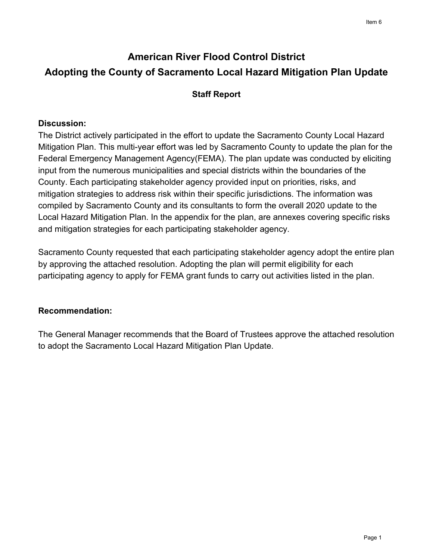# **American River Flood Control District Adopting the County of Sacramento Local Hazard Mitigation Plan Update**

## **Staff Report**

### **Discussion:**

The District actively participated in the effort to update the Sacramento County Local Hazard Mitigation Plan. This multi-year effort was led by Sacramento County to update the plan for the Federal Emergency Management Agency(FEMA). The plan update was conducted by eliciting input from the numerous municipalities and special districts within the boundaries of the County. Each participating stakeholder agency provided input on priorities, risks, and mitigation strategies to address risk within their specific jurisdictions. The information was compiled by Sacramento County and its consultants to form the overall 2020 update to the Local Hazard Mitigation Plan. In the appendix for the plan, are annexes covering specific risks and mitigation strategies for each participating stakeholder agency.

Sacramento County requested that each participating stakeholder agency adopt the entire plan by approving the attached resolution. Adopting the plan will permit eligibility for each participating agency to apply for FEMA grant funds to carry out activities listed in the plan.

#### **Recommendation:**

The General Manager recommends that the Board of Trustees approve the attached resolution to adopt the Sacramento Local Hazard Mitigation Plan Update.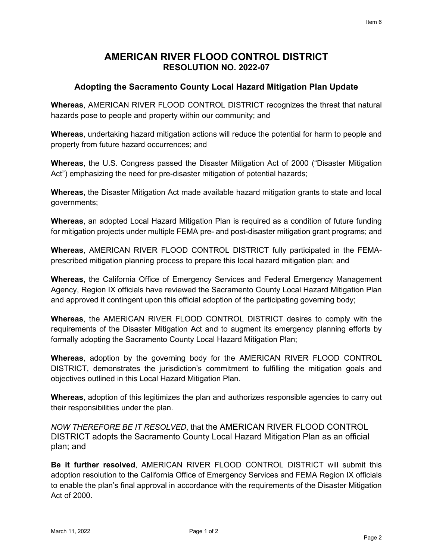#### **AMERICAN RIVER FLOOD CONTROL DISTRICT RESOLUTION NO. 2022-07**

#### **Adopting the Sacramento County Local Hazard Mitigation Plan Update**

**Whereas**, AMERICAN RIVER FLOOD CONTROL DISTRICT recognizes the threat that natural hazards pose to people and property within our community; and

**Whereas**, undertaking hazard mitigation actions will reduce the potential for harm to people and property from future hazard occurrences; and

**Whereas**, the U.S. Congress passed the Disaster Mitigation Act of 2000 ("Disaster Mitigation Act") emphasizing the need for pre-disaster mitigation of potential hazards;

**Whereas**, the Disaster Mitigation Act made available hazard mitigation grants to state and local governments;

**Whereas**, an adopted Local Hazard Mitigation Plan is required as a condition of future funding for mitigation projects under multiple FEMA pre- and post-disaster mitigation grant programs; and

**Whereas**, AMERICAN RIVER FLOOD CONTROL DISTRICT fully participated in the FEMAprescribed mitigation planning process to prepare this local hazard mitigation plan; and

**Whereas**, the California Office of Emergency Services and Federal Emergency Management Agency, Region IX officials have reviewed the Sacramento County Local Hazard Mitigation Plan and approved it contingent upon this official adoption of the participating governing body;

**Whereas**, the AMERICAN RIVER FLOOD CONTROL DISTRICT desires to comply with the requirements of the Disaster Mitigation Act and to augment its emergency planning efforts by formally adopting the Sacramento County Local Hazard Mitigation Plan;

**Whereas**, adoption by the governing body for the AMERICAN RIVER FLOOD CONTROL DISTRICT, demonstrates the jurisdiction's commitment to fulfilling the mitigation goals and objectives outlined in this Local Hazard Mitigation Plan.

**Whereas**, adoption of this legitimizes the plan and authorizes responsible agencies to carry out their responsibilities under the plan.

*NOW THEREFORE BE IT RESOLVED*, that the AMERICAN RIVER FLOOD CONTROL DISTRICT adopts the Sacramento County Local Hazard Mitigation Plan as an official plan; and

**Be it further resolved**, AMERICAN RIVER FLOOD CONTROL DISTRICT will submit this adoption resolution to the California Office of Emergency Services and FEMA Region IX officials to enable the plan's final approval in accordance with the requirements of the Disaster Mitigation Act of 2000.